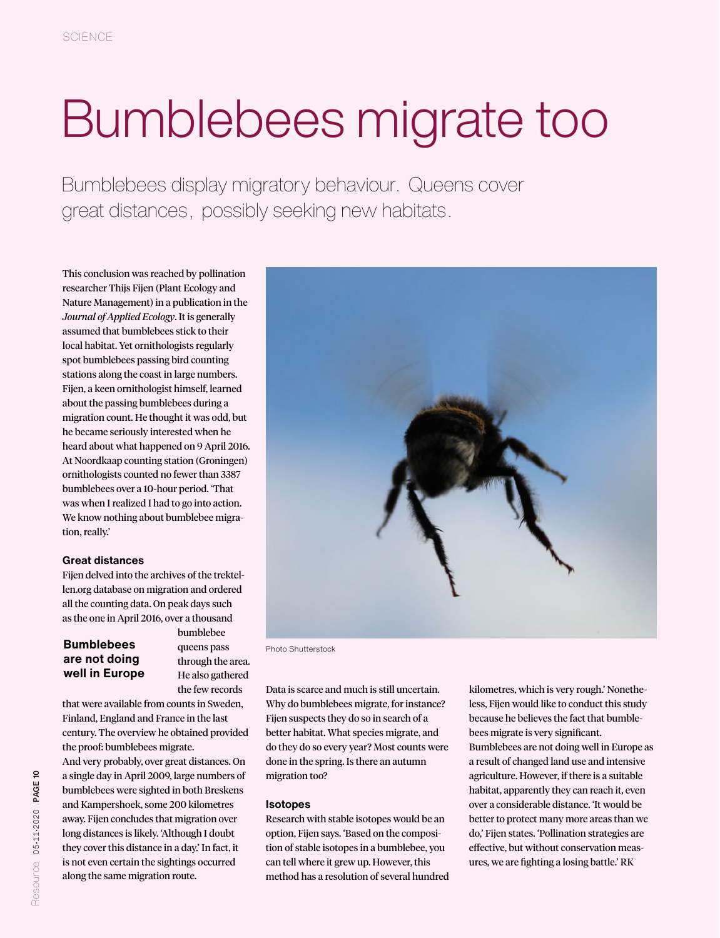# Bumblebees migrate too

Bumblebees display migratory behaviour. Queens cover great distances, possibly seeking new habitats.

This conclusion was reached by pollination researcher Thijs Fijen (Plant Ecology and Nature Management) in a publication in the *Journal of Applied Ecology*. It is generally assumed that bumblebees stick to their local habitat. Yet ornithologists regularly spot bumblebees passing bird counting stations along the coast in large numbers. Fijen, a keen ornithologist himself, learned about the passing bumblebees during a migration count. He thought it was odd, but he became seriously interested when he heard about what happened on 9 April 2016. At Noordkaap counting station (Groningen) ornithologists counted no fewer than 3387 bumblebees over a 10-hour period. 'That was when I realized I had to go into action. We know nothing about bumblebee migration, really.'

### **Great distances**

Fijen delved into the archives of the trektellen.org database on migration and ordered all the counting data. On peak days such as the one in April 2016, over a thousand

### **Bumblebees are not doing well in Europe**

bumblebee queens pass through the area. He also gathered the few records

that were available from counts in Sweden, Finland, England and France in the last century. The overview he obtained provided the proof: bumblebees migrate.

And very probably, over great distances. On a single day in April 2009, large numbers of bumblebees were sighted in both Breskens and Kampershoek, some 200 kilometres away. Fijen concludes that migration over long distances is likely. 'Although I doubt they cover this distance in a day.' In fact, it is not even certain the sightings occurred along the same migration route.



Photo Shutterstock

Data is scarce and much is still uncertain. Why do bumblebees migrate, for instance? Fijen suspects they do so in search of a better habitat. What species migrate, and do they do so every year? Most counts were done in the spring. Is there an autumn migration too?

### **Isotopes**

Research with stable isotopes would be an option, Fijen says. 'Based on the composition of stable isotopes in a bumblebee, you can tell where it grew up. However, this method has a resolution of several hundred kilometres, which is very rough.' Nonetheless, Fijen would like to conduct this study because he believes the fact that bumblebees migrate is very significant. Bumblebees are not doing well in Europe as a result of changed land use and intensive agriculture. However, if there is a suitable habitat, apparently they can reach it, even over a considerable distance. 'It would be better to protect many more areas than we do,' Fijen states. 'Pollination strategies are effective, but without conservation measures, we are fighting a losing battle.' RK